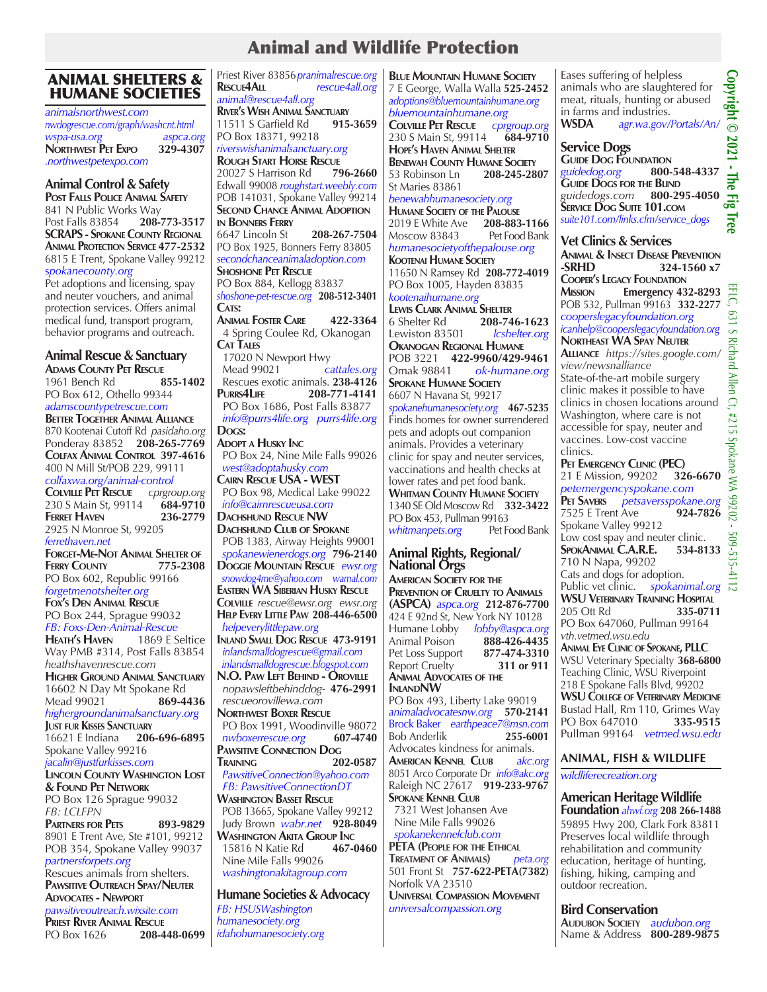# Animal and Wildlife Protection

### ANIMAL SHELTERS & HUMANE SOCIETIES

*animalsnorthwest.com nwdogrescue.com/graph/washcnt.html wspa-usa.org aspca.org* **NORTHWEST PET EXPO** *.northwestpetexpo.com*

### **Animal Control & Safety**

**Post Falls Police Animal Safety** 841 N Public Works Way<br>Post Falls 83854 **208-773-3517 Post Falls 83854 SCRAPS - Spokane County Regional Animal Protection Service 477-2532** 6815 E Trent, Spokane Valley 99212 s*pokanecounty.org*

Pet adoptions and licensing, spay and neuter vouchers, and animal protection services. Offers animal medical fund, transport program, behavior programs and outreach.

### **Animal Rescue & Sanctuary**

**Adams County Pet Rescue** 1961 Bench Rd **855-1402** PO Box 612, Othello 99344 *adamscountypetrescue.com* **Better Together Animal Alliance** 870 Kootenai Cutoff Rd *pasidaho.org* Ponderay 83852 **208-265-7769 Colfax Animal Control 397-4616** 400 N Mill St/POB 229, 99111 *colfaxwa.org/animal-control* **Colville Pet Rescue** *cprgroup.org* 230 S Main St, 99114 **684-9710 FERRET HAVEN** 2925 N Monroe St, 99205 *ferrethaven.net* **Forget-Me-Not Animal Shelter of FERRY COUNTY** PO Box 602, Republic 99166 *forgetmenotshelter.org* **Fox's Den Animal Rescue** PO Box 244, Sprague 99032 *FB: Foxs-Den-Animal-Rescue* **Heath's Haven** Way PMB #314, Post Falls 83854 *heathshavenrescue.com* **Higher Ground Animal Sanctuary** 16602 N Day Mt Spokane Rd<br>Mead 99021 **869-4436** Mead 99021 *highergroundanimalsanctuary.org* **Just fur Kisses Sanctuary** 16621 E Indiana **206-696-6895** Spokane Valley 99216 *jacalin@justfurkisses.com* **Lincoln County Washington Lost & Found Pet Network** PO Box 126 Sprague 99032 *FB: LCLFPN* **Partners for Pets 893-9829** 8901 E Trent Ave, Ste #101, 99212 POB 354, Spokane Valley 99037 *partnersforpets.org* Rescues animals from shelters. **Pawsitive Outreach Spay/Neuter Advocates - Newport** *pawsitiveoutreach.wixsite.com* **Priest River Animal Rescue** PO Box 1626 **208-448-0699**

Priest River 83856*pranimalrescue.org* **Rescue4All** *rescue4all.org animal@rescue4all.org* **River's Wish Animal Sanctuary** 11511 S Garfield Rd PO Box 18371, 99218 *riverswishanimalsanctuary.org* **Rough Start Horse Rescue** 20027 S Harrison Rd Edwall 99008 *roughstart.weebly.com* POB 141031, Spokane Valley 99214 **Second Chance Animal Adoption in Bonners Ferry** 6647 Lincoln St **208-267-7504** PO Box 1925, Bonners Ferry 83805 *secondchanceanimaladoption.com* **Shoshone Pet Rescue** PO Box 884, Kellogg 83837 *shoshone-pet-rescue.org* **208-512-3401** CATS: **Animal Foster Care 422-3364** 4 Spring Coulee Rd, Okanogan **Cat Tales** 17020 N Newport Hwy<br>Mead 99021 cattales.org Mead 99021 *cattales.org* Rescues exotic animals. **238-4126**<br>**PURRS4LIFE** 208-771-4141 **Purrs4Life 208-771-4141** PO Box 1686, Post Falls 83877  *info@purrs4life.org purrs4life.org* Dogs: **Adopt <sup>a</sup> Husky Inc** PO Box 24, Nine Mile Falls 99026  *west@adoptahusky.com* **Cairn Rescue USA - WEST** PO Box 98, Medical Lake 99022  *info@cairnrescueusa.com* **Dachshund Rescue NW Dachshund Club of Spokane** POB 1383, Airway Heights 99001  *spokanewienerdogs.org* **796-2140 Doggie Mountain Rescue** *ewsr.org snowdog4me@yahoo.com wamal.com* **Eastern WA Siberian Husky Rescue Colville** *rescue@ewsr.org ewsr.org* **Help Every Little Paw 208-446-6500**  *helpeverylittlepaw.org* **Inland Small Dog Rescue 473-9191**  *inlandsmalldogrescue@gmail.com inlandsmalldogrescue.blogspot.com* **N.O. Paw Left Behind - Oroville**  *nopawsleftbehinddog-* **476-2991**  *rescueorovillewa.com* **Northwest Boxer Rescue** PO Box 1991, Woodinville 98072<br>
nwboxerrescue.org 607-4740  $nwboxerrescue.org$ **Pawsitive Connection Dog Training 202-0587**  *PawsitiveConnection@yahoo.com FB: PawsitiveConnectionDT* **Washington Basset Rescue** POB 13665, Spokane Valley 99212 Judy Brown *wabr.net* **928-8049 Washington Akita Group Inc** 15816 N Katie Rd Nine Mile Falls 99026  *washingtonakitagroup.com* **Humane Societies & Advocacy** *FB: HSUSWashington humanesociety.org idahohumanesociety.org*

**Blue Mountain Humane Society** 7 E George, Walla Walla **525-2452** *adoptions@bluemountainhumane.org bluemountainhumane.org* **Colville Pet Rescue** *cprgroup.org*

230 S Main St, 99114 **684-9710 Hope's Haven Animal Shelter Benewah County Humane Society** 53 Robinson Ln **208-245-2807** St Maries 83861

*benewahhumanesociety.org* **Humane Society of the Palouse** 2019 E White Ave **208-883-1166** Moscow 83843 *humanesocietyofthepalouse.org* **Kootenai Humane Society** 11650 N Ramsey Rd **208-772-4019** PO Box 1005, Hayden 83835 *kootenaihumane.org* **Lewis Clark Animal Shelter** 6 Shelter Rd **208-746-1623** Lewiston 83501 **Okanogan Regional Humane** POB 3221 **422-9960/429-9461** ok-humane.org

**Spokane Humane Society** 6607 N Havana St, 99217 *spokanehumanesociety.org* **467-5235** Finds homes for owner surrendered pets and adopts out companion animals. Provides a veterinary clinic for spay and neuter services, vaccinations and health checks at lower rates and pet food bank. **Whitman County Humane Society** 1340 SE Old Moscow Rd **332-3422** PO Box 453, Pullman 99163<br>
whitmanpets.org Pet Food Bank *whitmanpets.org* 

#### **Animal Rights, Regional/ National Orgs**

**American Society for the Prevention of Cruelty to Animals (ASPCA)** *aspca.org* **212-876-7700** 424 E 92nd St, New York NY 10128 Humane Lobby *lobby@aspca.org* Animal Poison **888-426-4435** Pet Loss Support Report Cruelty **311 or 911 Animal Advocates of the InlandNW**

PO Box 493, Liberty Lake 99019 *animaladvocatesnw.org* **570-2141** Brock Baker *earthpeace7@msn.com* **Bob Anderlik** Advocates kindness for animals.<br>**AMERICAN KENNEL CLUB** akc.org **AMERICAN KENNEL CLUB** 8051 Arco Corporate Dr *info@akc.org* Raleigh NC 27617 **919-233-9767 Spokane Kennel Club** 7321 West Johansen Ave Nine Mile Falls 99026  *spokanekennelclub.com* **PETA (People for the Ethical Treatment of Animals)** *peta.org* 501 Front St **757-622-PETA(7382)**  Norfolk VA 23510 **Universal Compassion Movement**

*universalcompassion.org*

Eases suffering of helpless Copyright © animals who are slaughtered for meat, rituals, hunting or abused in farms and industries.<br>WSDA  $\frac{aqr.wa.gov}{}$ **WSDA** *agr.wa.gov/Portals/An/*

# **Service Dogs**

**Copyright © 2021 - The Fig Tree**  $0.2021$ **GUIDE DOG FOUNDATION**<br>*guidedog.org* 800-548-4337 *guidedog.org* **800-548-4337** The **Guide Dogs for the Blind** *guidedogs.com* **800-295-4050** Fig Tree **Service Dog Suite 101.com** *suite101.com/links.cfm/service\_dogs*

## **Vet Clinics & Services**

**Animal & Insect Disease Prevention -SRHD 324-1560 x7 COOPER'S LEGACY FOUNDATION**<br>**MISSION Emergency 43 Mission Emergency 432-8293** POB 532, Pullman 99163 **332-2277** *cooperslegacyfoundation.org icanhelp@cooperslegacyfoundation.org* **Northeast WA Spay Neuter Alliance** *https://sites.google.com/ view/newsnalliance* State-of-the-art mobile surgery clinic makes it possible to have clinics in chosen locations around Washington, where care is not accessible for spay, neuter and vaccines. Low-cost vaccine clinics. **Pet Emergency Clinic (PEC)** 21 E Mission, 99202 **326-6670** *petemergencyspokane.com* **PET SAVERS** *petsaversspokane.org*<br>7525 E Trent Ave **924-7826** 7525 E Trent Ave **924-7826** Spokane Valley 99212 Low cost spay and neuter clinic.<br>SPOKANIMAL C.A.R.E. 534-8133 **SpokAnimal C.A.R.E. 534-8133** 710 N Napa, 99202 Cats and dogs for adoption. Public vet clinic. *spokanimal.org*

**WSU Veterinary Training Hospital** 205 Ott Rd **335-0711** PO Box 647060, Pullman 99164 *vth.vetmed.wsu.edu*

**Animal Eye Clinic of Spokane, PLLC** WSU Veterinary Specialty **368-6800**  Teaching Clinic, WSU Riverpoint 218 E Spokane Falls Blvd, 99202 **WSU College of Veterinary Medicine** Bustad Hall, Rm 110, Grimes Way<br>PO Box 647010 335-9515 PO Box 647010 **335-9515** Pullman 99164 *vetmed.wsu.edu*

#### **ANIMAL, FISH & WILDLIFE**

*wildliferecreation.org*

**American Heritage Wildlife Foundation** *ahwf.org* **208 266-1488** 59895 Hwy 200, Clark Fork 83811 Preserves local wildlife through rehabilitation and community education, heritage of hunting, fishing, hiking, camping and outdoor recreation.

**Bird Conservation**<br>AUDUBON SOCIETY audubon.org **Name & Address 800-289-9875**